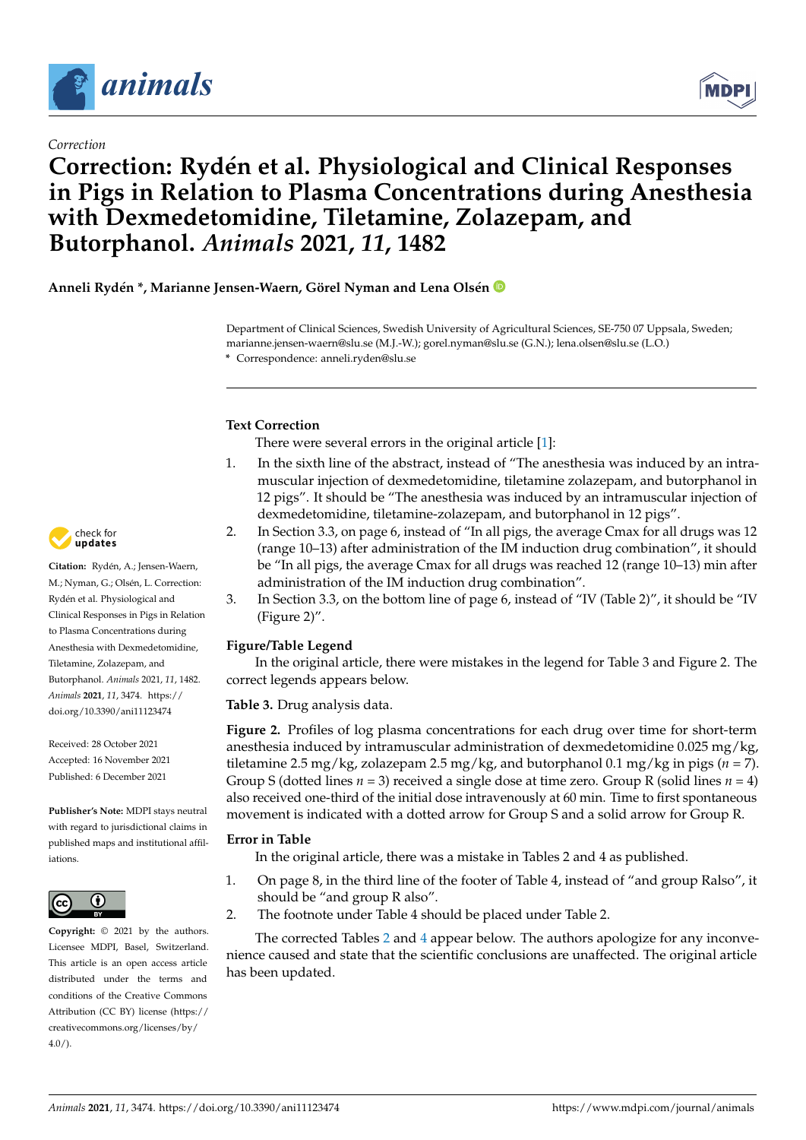



# **Correction: Rydén et al. Physiological and Clinical Responses in Pigs in Relation to Plasma Concentrations during Anesthesia with Dexmedetomidine, Tiletamine, Zolazepam, and Butorphanol.** *Animals* **2021,** *11***, 1482**

**Anneli Rydén \*, Marianne Jensen-Waern, Görel Nyman and Lena Olsén**

Department of Clinical Sciences, Swedish University of Agricultural Sciences, SE-750 07 Uppsala, Sweden; marianne.jensen-waern@slu.se (M.J.-W.); gorel.nyman@slu.se (G.N.); lena.olsen@slu.se (L.O.) **\*** Correspondence: anneli.ryden@slu.se

## **Text Correction**

There were several errors in the original article [\[1\]](#page-1-0):

- 1. In the sixth line of the abstract, instead of "The anesthesia was induced by an intramuscular injection of dexmedetomidine, tiletamine zolazepam, and butorphanol in 12 pigs". It should be "The anesthesia was induced by an intramuscular injection of dexmedetomidine, tiletamine-zolazepam, and butorphanol in 12 pigs".
- 2. In Section 3.3, on page 6, instead of "In all pigs, the average Cmax for all drugs was 12 (range 10–13) after administration of the IM induction drug combination", it should be "In all pigs, the average Cmax for all drugs was reached 12 (range 10–13) min after administration of the IM induction drug combination".
- 3. In Section 3.3, on the bottom line of page 6, instead of "IV (Table 2)", it should be "IV (Figure 2)".

### **Figure/Table Legend**

In the original article, there were mistakes in the legend for Table 3 and Figure 2. The correct legends appears below.

**Table 3.** Drug analysis data.

**Figure 2.** Profiles of log plasma concentrations for each drug over time for short-term anesthesia induced by intramuscular administration of dexmedetomidine 0.025 mg/kg, tiletamine 2.5 mg/kg, zolazepam 2.5 mg/kg, and butorphanol 0.1 mg/kg in pigs ( $n = 7$ ). Group S (dotted lines *n* = 3) received a single dose at time zero. Group R (solid lines *n* = 4) also received one-third of the initial dose intravenously at 60 min. Time to first spontaneous movement is indicated with a dotted arrow for Group S and a solid arrow for Group R.

### **Error in Table**

In the original article, there was a mistake in Tables 2 and 4 as published.

- 1. On page 8, in the third line of the footer of Table 4, instead of "and group Ralso", it should be "and group R also".
- 2. The footnote under Table 4 should be placed under Table 2.

The corrected Tables [2](#page-1-1) and [4](#page-1-2) appear below. The authors apologize for any inconvenience caused and state that the scientific conclusions are unaffected. The original article has been updated.



**Citation:** Rydén, A.; Jensen-Waern, M.; Nyman, G.; Olsén, L. Correction: Rydén et al. Physiological and Clinical Responses in Pigs in Relation to Plasma Concentrations during Anesthesia with Dexmedetomidine, Tiletamine, Zolazepam, and Butorphanol. *Animals* 2021, *11*, 1482. *Animals* **2021**, *11*, 3474. [https://](https://doi.org/10.3390/ani11123474) [doi.org/10.3390/ani11123474](https://doi.org/10.3390/ani11123474)

Received: 28 October 2021 Accepted: 16 November 2021 Published: 6 December 2021

**Publisher's Note:** MDPI stays neutral with regard to jurisdictional claims in published maps and institutional affiliations.



**Copyright:** © 2021 by the authors. Licensee MDPI, Basel, Switzerland. This article is an open access article distributed under the terms and conditions of the Creative Commons Attribution (CC BY) license (https:/[/](https://creativecommons.org/licenses/by/4.0/) [creativecommons.org/licenses/by/](https://creativecommons.org/licenses/by/4.0/)  $4.0/$ ).